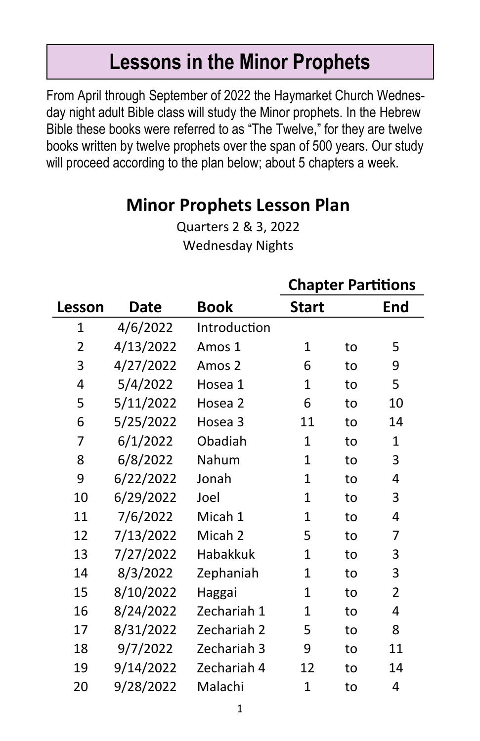# **Lessons in the Minor Prophets**

From April through September of 2022 the Haymarket Church Wednesday night adult Bible class will study the Minor prophets. In the Hebrew Bible these books were referred to as "The Twelve," for they are twelve books written by twelve prophets over the span of 500 years. Our study will proceed according to the plan below; about 5 chapters a week.

## **Minor Prophets Lesson Plan**

Quarters 2 & 3, 2022 Wednesday Nights

|                |             |              | <b>Chapter Partitions</b> |    |                |
|----------------|-------------|--------------|---------------------------|----|----------------|
| Lesson         | <b>Date</b> | Book         | <b>Start</b>              |    | End            |
| $\overline{1}$ | 4/6/2022    | Introduction |                           |    |                |
| $\overline{2}$ | 4/13/2022   | Amos 1       | 1                         | to | 5              |
| 3              | 4/27/2022   | Amos 2       | 6                         | to | 9              |
| 4              | 5/4/2022    | Hosea 1      | 1                         | to | 5              |
| 5              | 5/11/2022   | Hosea 2      | 6                         | to | 10             |
| 6              | 5/25/2022   | Hosea 3      | 11                        | to | 14             |
| 7              | 6/1/2022    | Obadiah      | 1                         | to | $\mathbf{1}$   |
| 8              | 6/8/2022    | Nahum        | 1                         | to | 3              |
| 9              | 6/22/2022   | Jonah        | 1                         | to | 4              |
| 10             | 6/29/2022   | Joel         | 1                         | to | 3              |
| 11             | 7/6/2022    | Micah 1      | $\mathbf{1}$              | to | 4              |
| 12             | 7/13/2022   | Micah 2      | 5                         | to | 7              |
| 13             | 7/27/2022   | Habakkuk     | 1                         | to | 3              |
| 14             | 8/3/2022    | Zephaniah    | 1                         | to | 3              |
| 15             | 8/10/2022   | Haggai       | 1                         | to | $\overline{2}$ |
| 16             | 8/24/2022   | Zechariah 1  | 1                         | to | 4              |
| 17             | 8/31/2022   | Zechariah 2  | 5                         | to | 8              |
| 18             | 9/7/2022    | Zechariah 3  | 9                         | to | 11             |
| 19             | 9/14/2022   | Zechariah 4  | 12                        | to | 14             |
| 20             | 9/28/2022   | Malachi      | 1                         | to | 4              |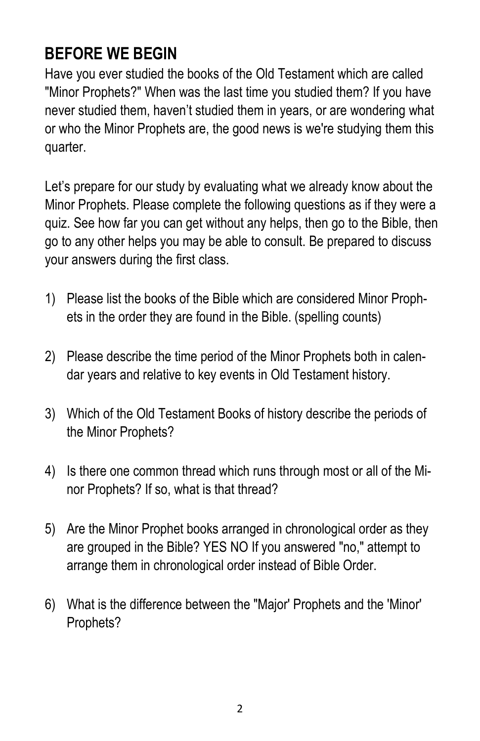## **BEFORE WE BEGIN**

Have you ever studied the books of the Old Testament which are called "Minor Prophets?" When was the last time you studied them? If you have never studied them, haven't studied them in years, or are wondering what or who the Minor Prophets are, the good news is we're studying them this quarter.

Let's prepare for our study by evaluating what we already know about the Minor Prophets. Please complete the following questions as if they were a quiz. See how far you can get without any helps, then go to the Bible, then go to any other helps you may be able to consult. Be prepared to discuss your answers during the first class.

- 1) Please list the books of the Bible which are considered Minor Prophets in the order they are found in the Bible. (spelling counts)
- 2) Please describe the time period of the Minor Prophets both in calendar years and relative to key events in Old Testament history.
- 3) Which of the Old Testament Books of history describe the periods of the Minor Prophets?
- 4) Is there one common thread which runs through most or all of the Minor Prophets? If so, what is that thread?
- 5) Are the Minor Prophet books arranged in chronological order as they are grouped in the Bible? YES NO If you answered "no," attempt to arrange them in chronological order instead of Bible Order.
- 6) What is the difference between the "Major' Prophets and the 'Minor' Prophets?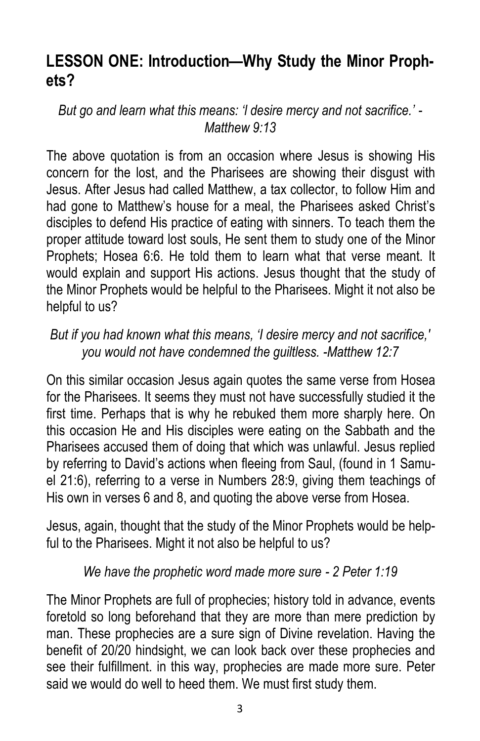### **LESSON ONE: Introduction—Why Study the Minor Prophets?**

*But go and learn what this means: 'l desire mercy and not sacrifice.' - Matthew 9:13* 

The above quotation is from an occasion where Jesus is showing His concern for the lost, and the Pharisees are showing their disgust with Jesus. After Jesus had called Matthew, a tax collector, to follow Him and had gone to Matthew's house for a meal, the Pharisees asked Christ's disciples to defend His practice of eating with sinners. To teach them the proper attitude toward lost souls, He sent them to study one of the Minor Prophets; Hosea 6:6. He told them to learn what that verse meant. It would explain and support His actions. Jesus thought that the study of the Minor Prophets would be helpful to the Pharisees. Might it not also be helpful to us?

#### *But if you had known what this means, 'I desire mercy and not sacrifice,' you would not have condemned the guiltless. -Matthew 12:7*

On this similar occasion Jesus again quotes the same verse from Hosea for the Pharisees. It seems they must not have successfully studied it the first time. Perhaps that is why he rebuked them more sharply here. On this occasion He and His disciples were eating on the Sabbath and the Pharisees accused them of doing that which was unlawful. Jesus replied by referring to David's actions when fleeing from Saul, (found in 1 Samuel 21:6), referring to a verse in Numbers 28:9, giving them teachings of His own in verses 6 and 8, and quoting the above verse from Hosea.

Jesus, again, thought that the study of the Minor Prophets would be helpful to the Pharisees. Might it not also be helpful to us?

#### *We have the prophetic word made more sure - 2 Peter 1:19*

The Minor Prophets are full of prophecies; history told in advance, events foretold so long beforehand that they are more than mere prediction by man. These prophecies are a sure sign of Divine revelation. Having the benefit of 20/20 hindsight, we can look back over these prophecies and see their fulfillment. in this way, prophecies are made more sure. Peter said we would do well to heed them. We must first study them.